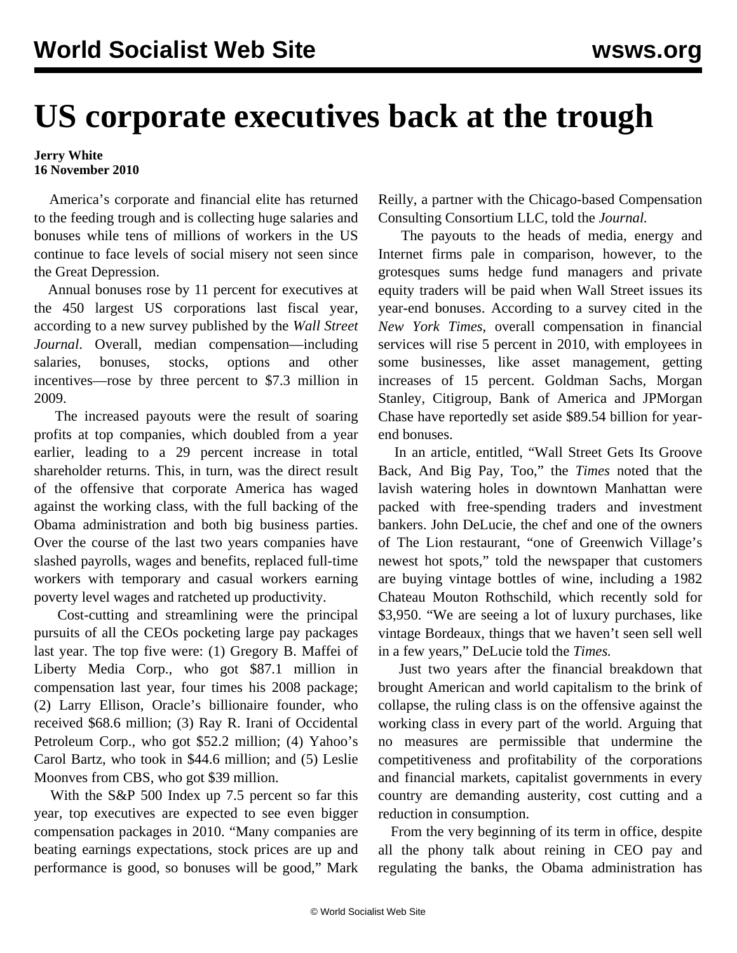## **US corporate executives back at the trough**

## **Jerry White 16 November 2010**

 America's corporate and financial elite has returned to the feeding trough and is collecting huge salaries and bonuses while tens of millions of workers in the US continue to face levels of social misery not seen since the Great Depression.

 Annual bonuses rose by 11 percent for executives at the 450 largest US corporations last fiscal year, according to a new survey published by the *Wall Street Journal*. Overall, median compensation—including salaries, bonuses, stocks, options and other incentives—rose by three percent to \$7.3 million in 2009.

 The increased payouts were the result of soaring profits at top companies, which doubled from a year earlier, leading to a 29 percent increase in total shareholder returns. This, in turn, was the direct result of the offensive that corporate America has waged against the working class, with the full backing of the Obama administration and both big business parties. Over the course of the last two years companies have slashed payrolls, wages and benefits, replaced full-time workers with temporary and casual workers earning poverty level wages and ratcheted up productivity.

 Cost-cutting and streamlining were the principal pursuits of all the CEOs pocketing large pay packages last year. The top five were: (1) Gregory B. Maffei of Liberty Media Corp., who got \$87.1 million in compensation last year, four times his 2008 package; (2) Larry Ellison, Oracle's billionaire founder, who received \$68.6 million; (3) Ray R. Irani of Occidental Petroleum Corp., who got \$52.2 million; (4) Yahoo's Carol Bartz, who took in \$44.6 million; and (5) Leslie Moonves from CBS, who got \$39 million.

 With the S&P 500 Index up 7.5 percent so far this year, top executives are expected to see even bigger compensation packages in 2010. "Many companies are beating earnings expectations, stock prices are up and performance is good, so bonuses will be good," Mark Reilly, a partner with the Chicago-based Compensation Consulting Consortium LLC, told the *Journal.*

 The payouts to the heads of media, energy and Internet firms pale in comparison, however, to the grotesques sums hedge fund managers and private equity traders will be paid when Wall Street issues its year-end bonuses. According to a survey cited in the *New York Times*, overall compensation in financial services will rise 5 percent in 2010, with employees in some businesses, like asset management, getting increases of 15 percent. Goldman Sachs, Morgan Stanley, Citigroup, Bank of America and JPMorgan Chase have reportedly set aside \$89.54 billion for yearend bonuses.

 In an article, entitled, "Wall Street Gets Its Groove Back, And Big Pay, Too," the *Times* noted that the lavish watering holes in downtown Manhattan were packed with free-spending traders and investment bankers. John DeLucie, the chef and one of the owners of The Lion restaurant, "one of Greenwich Village's newest hot spots," told the newspaper that customers are buying vintage bottles of wine, including a 1982 Chateau Mouton Rothschild, which recently sold for \$3,950. "We are seeing a lot of luxury purchases, like vintage Bordeaux, things that we haven't seen sell well in a few years," DeLucie told the *Times.* 

 Just two years after the financial breakdown that brought American and world capitalism to the brink of collapse, the ruling class is on the offensive against the working class in every part of the world. Arguing that no measures are permissible that undermine the competitiveness and profitability of the corporations and financial markets, capitalist governments in every country are demanding austerity, cost cutting and a reduction in consumption.

 From the very beginning of its term in office, despite all the phony talk about reining in CEO pay and regulating the banks, the Obama administration has